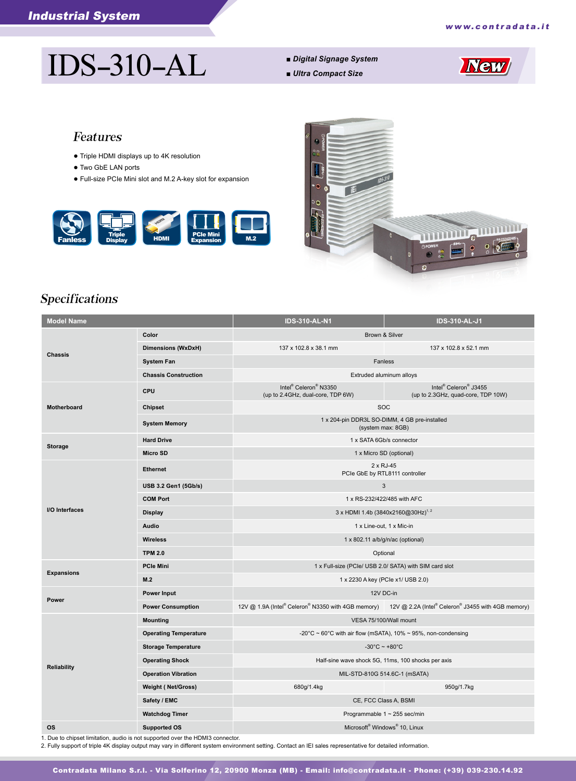# IDS-310-AL *■ Digital Signage System*

- 
- *Ultra Compact Size*



### Features

- Triple HDMI displays up to 4K resolution
- Two GbE LAN ports
- Full-size PCIe Mini slot and M.2 A-key slot for expansion





## Specifications

| <b>Model Name</b>  |                              | <b>IDS-310-AL-N1</b>                                                                                  | <b>IDS-310-AL-J1</b>                                        |
|--------------------|------------------------------|-------------------------------------------------------------------------------------------------------|-------------------------------------------------------------|
| <b>Chassis</b>     | Color                        | Brown & Silver                                                                                        |                                                             |
|                    | Dimensions (WxDxH)           | 137 x 102.8 x 38.1 mm                                                                                 | 137 x 102.8 x 52.1 mm                                       |
|                    | <b>System Fan</b>            | Fanless                                                                                               |                                                             |
|                    | <b>Chassis Construction</b>  | Extruded aluminum alloys                                                                              |                                                             |
| Motherboard        | <b>CPU</b>                   | Intel <sup>®</sup> Celeron <sup>®</sup> N3350<br>(up to 2.4GHz, dual-core, TDP 6W)                    | Intel® Celeron® J3455<br>(up to 2.3GHz, quad-core, TDP 10W) |
|                    | Chipset                      | <b>SOC</b>                                                                                            |                                                             |
|                    | <b>System Memory</b>         | 1 x 204-pin DDR3L SO-DIMM, 4 GB pre-installed<br>(system max: 8GB)                                    |                                                             |
| <b>Storage</b>     | <b>Hard Drive</b>            | 1 x SATA 6Gb/s connector                                                                              |                                                             |
|                    | <b>Micro SD</b>              | 1 x Micro SD (optional)                                                                               |                                                             |
| I/O Interfaces     | <b>Ethernet</b>              | $2 \times RJ-45$<br>PCIe GbE by RTL8111 controller                                                    |                                                             |
|                    | USB 3.2 Gen1 (5Gb/s)         | 3                                                                                                     |                                                             |
|                    | <b>COM Port</b>              | 1 x RS-232/422/485 with AFC                                                                           |                                                             |
|                    | <b>Display</b>               | 3 x HDMI 1.4b (3840x2160@30Hz) <sup>1, 2</sup>                                                        |                                                             |
|                    | Audio                        | 1 x Line-out, 1 x Mic-in                                                                              |                                                             |
|                    | <b>Wireless</b>              | 1 x 802.11 a/b/g/n/ac (optional)                                                                      |                                                             |
|                    | <b>TPM 2.0</b>               | Optional                                                                                              |                                                             |
| <b>Expansions</b>  | <b>PCIe Mini</b>             | 1 x Full-size (PCIe/ USB 2.0/ SATA) with SIM card slot                                                |                                                             |
|                    | M.2                          | 1 x 2230 A key (PCIe x1/ USB 2.0)                                                                     |                                                             |
| Power              | Power Input                  |                                                                                                       | 12V DC-in                                                   |
|                    | <b>Power Consumption</b>     | 12V @ 1.9A (Intel® Celeron® N3350 with 4GB memory) 12V @ 2.2A (Intel® Celeron® J3455 with 4GB memory) |                                                             |
| <b>Reliability</b> | <b>Mounting</b>              | VESA 75/100/Wall mount                                                                                |                                                             |
|                    | <b>Operating Temperature</b> | -20°C ~ 60°C with air flow (mSATA), 10% ~ 95%, non-condensing                                         |                                                             |
|                    | <b>Storage Temperature</b>   | $-30^{\circ}$ C ~ +80 $^{\circ}$ C                                                                    |                                                             |
|                    | <b>Operating Shock</b>       | Half-sine wave shock 5G, 11ms, 100 shocks per axis                                                    |                                                             |
|                    | <b>Operation Vibration</b>   | MIL-STD-810G 514.6C-1 (mSATA)                                                                         |                                                             |
|                    | <b>Weight (Net/Gross)</b>    | 680g/1.4kg                                                                                            | 950g/1.7kg                                                  |
|                    | Safety / EMC                 | CE, FCC Class A, BSMI                                                                                 |                                                             |
|                    | <b>Watchdog Timer</b>        | Programmable $1 \sim 255$ sec/min                                                                     |                                                             |
| <b>OS</b>          | <b>Supported OS</b>          | Microsoft <sup>®</sup> Windows <sup>®</sup> 10, Linux                                                 |                                                             |

1. Due to chipset limitation, audio is not supported over the HDMI3 connector.

2. Fully support of triple 4K display output may vary in different system environment setting. Contact an IEI sales representative for detailed information.